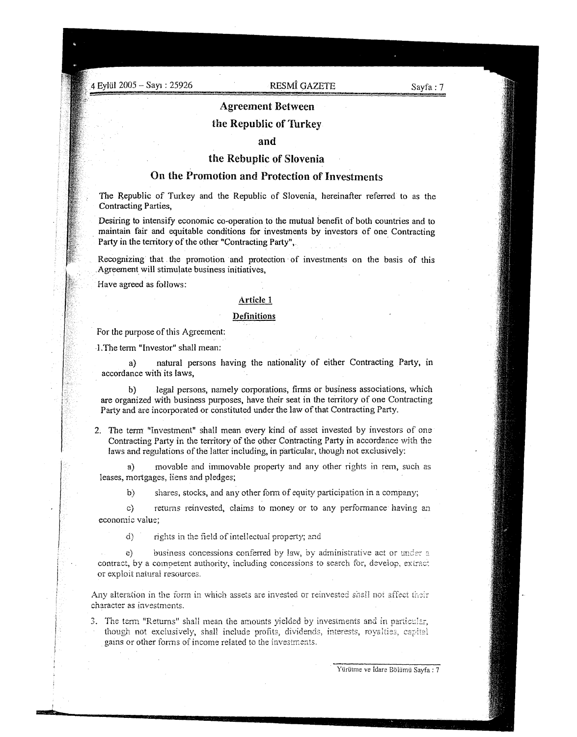4 Eylül 2005 – Sayı : 25926 RESMÎ GAZETE

## Agreement Between

## the Republic of Turkey

## and

## the Rebuplic of Slovenia

## On the Promotion and Protection of Investments

The Republic of Turkey and the Republic of Slovenia, hereinafter referred to as the Contracting Parties,

Desiring to intensify economic co-operation to the mutual benefit of both countries and to maintain fair and equitable conditions for investments by investors of one Contracting Party in the territory of the other "Contracting Party", .

Recognizing that the promotion and protection of investments on the basis of this . Agreement will stimulate business initiatives,

Have agreed as follows:

### Article 1

### **Definitions**

For the purpose of this Agreement:

·l.The term "Investor" shall mean:

a) natural persons having the nationality of either Contracting Party, in accordance with its laws,

b) legal persons, namely corporations, firms or business associations, which are organized with business purposes, have their seat in the temtory of one Contracting Party and are incorporated or constituted under the law of that Contracting Party.

2. The tenn "Investment" shall mean every kind of asset invested by investors of one Contracting Party in the territory of the other Contracting Party in accordance with the laws and regulations of the latter including, in particular, though not exclusively:

a) movable and immovable property and any other rights in rem, such as leases, mortgages, liens and pledges;

by shares, stocks, and any other fonn of equity participation in a company;

c) returns reinvested, claims to money or to any performance having an economic value;

 $d$  rights in the field of intellectual property; and

e) business concessions conferred by law, by administrative act or under a contract, by a competent authority, including concessions to search for, develop, extract or exploit natura! resources.

Any alteration in the form in which assets are invested or reinvested shall not affect their character as investments.

3. The term "Returns" shall mean the amounts yielded by investments and in particular, though not exclusively, shall include profits, dividends, interests, royalties, capital gains or other forms of income related to the investments.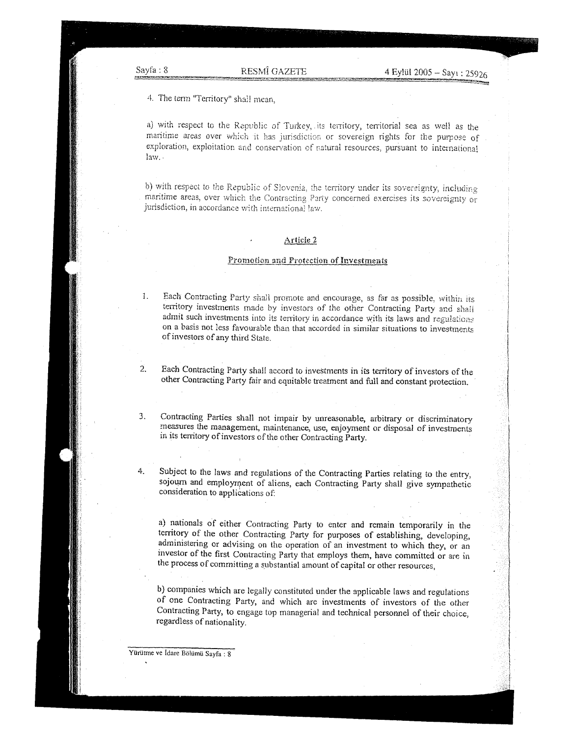4. The term "Territory" shall mean,

a) with respect to the Republic of Turkey, its territory, territorial sea as well as the maritime areas over which it has jurisdiction or sovereign rights for the purpose of exploration, exploitation and conservation of natural resources, pursuant to international  $law.$ .

b) with respect to the Republic of Slovenia, the territory under its sovereignty, including maritime areas, over which the Contracting Party concerned exercises its sovereignty or jurisdiction, in accordance with international law.

#### Article 2

### Promotion and Protection of Investments

- 1. Each Contracting Party shall promote and encourage, as far as possible, within its territory investments made by investors of the other Contracting Party and shall admit such investments into its territory in accordance with its laws and regulations on a basis not less favourable than that accorded in similar situations to investments of investors of any third State.
- 2. Each Contracting Party shall accord to investments in its territory of investors of the other Contracting Party fair and equitable treatment and full and constant protection.

3. Contracting Parties shall not impair by unreasonable, arbitrary or discriminatory measures the management, maintenance, use, enjoyment or disposal of investments in its territory of investors of the other Contracting Party.

4. Subject to the laws and regulations of the Contracting Parties relating to the entry, sojourn and employment of aliens, each Contracting Party shall give sympathetic consideration to applications of:

a) nationals of either Contracting Party to enter and remain temporarily in the territory of the other Contracting Party for purposes of establishing, developing, administering or advising on the operation of an investment to which they, or an investor of the first Contracting Party that employs them, have committed or are in the process of committing a substantial amount of capital or other resources,

b) companies which are legally constituted under the applicable laws and regulations of one Contracting Party, and which are investments of investors of the other Contracting Patty, to engage top managerial and technical personnel of their choice, regardless of nationality.

YUriitme ve idare Boliimii Sayfa : 8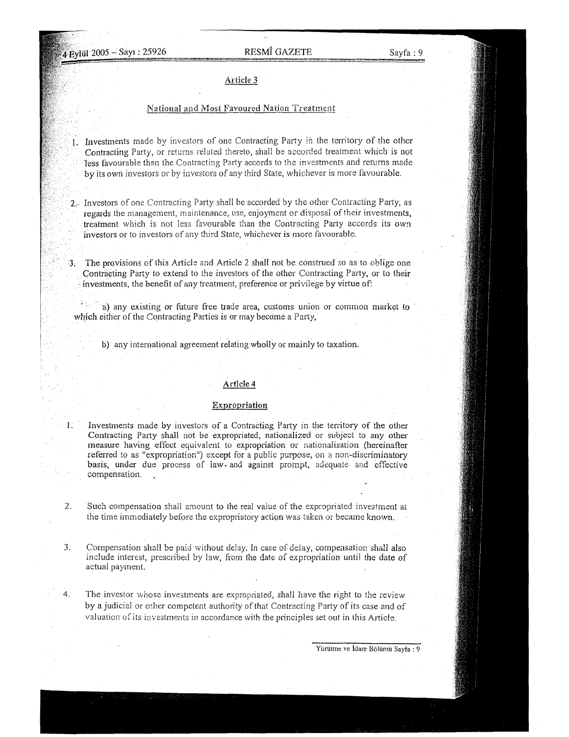# 4 Eylül 2005 - Sayı : 25926 RESMÎ GAZETE Sayfa : 9

### Article 3

## National and Most Favoured Nation Treatment

- .Investments made by investors of one Contracting Party in the tenitory of the other Contracting Party, or returns related thereto, shall be accorded treatment which is not less favourable than the Contracting Party accords to the investments and returns made by its own investors or by investors of any third State, whichever is more favourable.
- 2.- Investors of one Contracting Party shail be accorded by the other Contracting Party, as regards the management, maintenance, use, enjoyment or disposai of their investments, treatment which is not less favourable than the Contracting Party accords its own investors or to investors of any third State, whichever is more favourable .
- .], The provisions of this Article and Article 2 shall not be construed so as to oblige one Contracting Party to extend to the investors of the other Contracting Party, or to their investments, the benefit of any treatment, preference or privilege by virtue of:

a) any existing or future free trade area, customs union or common market to which either of the Contracting Parties is or may become a Party,

b) any international agreement relating wholly or mainly to taxation.

## Article **4**

## Expropriation

Investments made by investors of a Contracting Party in the territory of the other Contracting Party shall not be expropriated, nationalized or subject to any other measure having effect equivaient to expropriation or nationaiisation (hereinafter referred to as "expropriation") except for a public purpose, on a non-discriminatory basis, under due process of law. and against prompt, adequate and effective compensation.

- 2. Such compensation shall amount to the real value of the expropriated investment at the time immediately before the expropriatory action was taken or became known.
- **3.** Compensation shall be paid without delay. In case of delay, compensation shall also include interest, prescribed by law, from the date of expropriation until the date of actual payment.
- 4. The investor whose investments are expropriated, shall have the right to the review by a judicial or orher competent authority of that Contracting Party of its case and of valuation of its investments in accordance with the principles set out in this Article.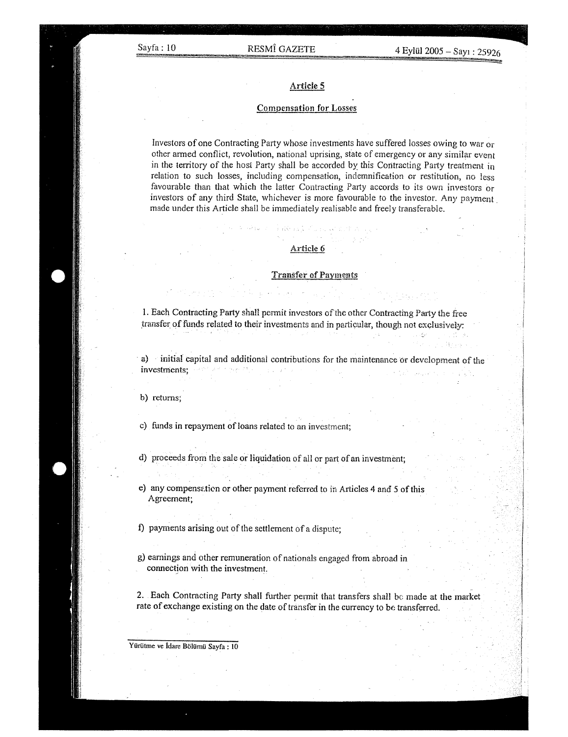## Article 5

#### Compensation **for** Losses

Investors of one Contracting Party whose investments have suffered losses owing to war or other armed conflict, revolution, national uprising, state of emergency or any similar event in the territory of the host Party shall be accorded by this Contracting Party treatment in relation to such losses, including compensation, indemnification or restitution, no less favourable than that which the latter Contracting Party accords to its own investors or investors of any third State, whichever is more favourable to the investor. Any payment. made under this Article shall be immediately realisable and freely transferable.

## Article 6

#### Transfer of Payments

1. Each Contracting Party shall permit investors of the other Contracting Party the free transfer of funds related to their investments and in particular, though not exclusively:

. a) initial capital and additional contributions for the maintenance or development of the investments; and the theory of

b) returns;

c) funds in repayment of loans related to an investment;

d) proceeds from the sale or liquidation of all or part of an investment;

e) any compensation or other payment referred to in Articles 4 and 5 of this Agreement;

f) payments arising out of the settlement of a dispute;

g) earnings and other remuneration of nationals engaged from abroad in connection with the investment.

2. Each Contracting Party shall further permit that transfers shall be made at the market rate of exchange existing on the date of transfer in the currency to be transferred.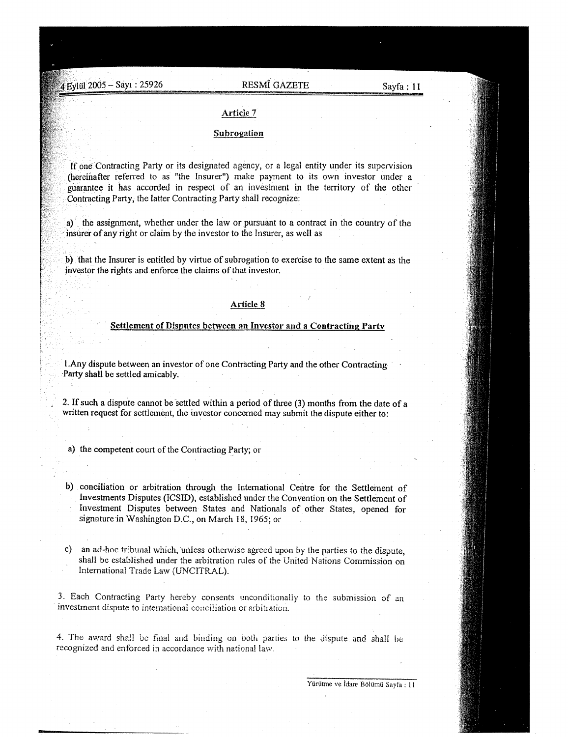# 2005 - SaYI : 25926 RESMI GAZETE Sayfa: **<sup>11</sup>**

# Article 7

## Subrogation

If one Contracting Party or its designated agency, or a legal entity under its supervision (hereinafter referred to as "the Insurer") make payment to its own investor under a guarantee it has accorded in respect of an investment in the territory of the other Contracting Party, the latter Contracting Party shall recognize:

a) the assignment, whether under the hiw or pursuant to a contract in the country of the insurer of any right or claim by the investor to the Insurer, as well as

b) that the Insurer is entitled by virtue of subrogation to exercise to the same extent as the investor the rights and enforce the claims of that investor.

## Article 8

## Settlement of Disputes between an Investor and a Contracting Party

I.Any dispute between an investor of one Contracting Party and the other Contracting ·Party shall be settled amicably.

2. If such a dispute cannot be settled within a period of three (3) months from the date of a written request for settlement, the investor concerned may submit the dispute either to:

- a) the competent court of the Contracting Party; or
- b) conciliation or arbitration through the International Centre for the Settlement of Investments Disputes (ICSID), established under the Convention on the Settlement of Investment Disputes between States and Nationals of other States, opened for signature in Washington D.C., on March 18, \965; or
- c) an ad-hoc tribunal which, unless otherwise agreed upon by the parties to the dispute, shall be established under the arbitration rules of the United Nations Commission on International Trade Law (UNCITRAL).

3. Each Contracting Party hereby consents unconditionaily to the submission of an investment dispute to international conciliation or arbitration.

4. The award shall be final and binding on Doth parties to the dispute and shall be recognized and enforced in accordance with national law.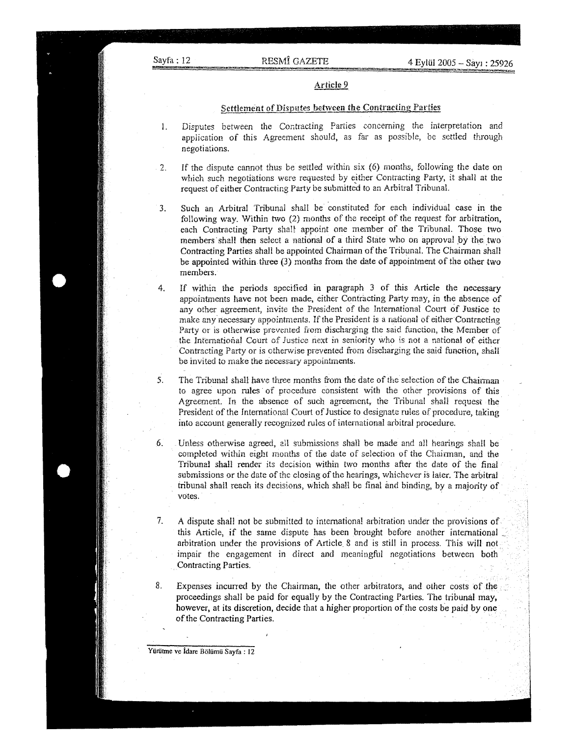## Article 9

## Settlement of Disputes between the Contracting Parties

- I. Disputes between the Contracting Parties concerning the interpretation and application of this Agreement should, as tar as possible, be settled through negotiations.
- 2. If the dispute cannot thus be settled within six  $(6)$  months, following the date on which such negotiations were reauested by either Contracting Party, it shall at the request of either Contracting Party be submitted to an Arbitral TribunaL
- 3. Such an Arbitral Tribunal shaH be constituted for each individual case in the following way. Within two  $(2)$  months of the receipt of the request for arbitration, each Contracting Party shall appoint one member of the Tribunal. Those two members shall then select a national of a third State who on approval by the two Contracting Parties shall be appointed Chairman of the Tribunal. The Chairman shall be appointed within three (3) months from the date of appointment of the other two members.

4. If within the periods specified in paragraph 3 of this Article the necessary appointments have not been made, either Contracting Party may, in the absence of any other agreement, invite the President of the International Court of Justice to make any'necessary appointments. If the President is a national of either Contracting Party or is otherwise prevented from discharging the said function, the Member of the International Court of Justice next in seniority who is not a national of either Contracting Party or is otherwise prevented from discharging the said function, shall be invited to make the necessary appointments.

5. The Tribunal shall have three months from the date of the selection of the Chairman to agree upon rules· of procedure consistent with the other provisions of this Agreement. In the absence of such agreement, the Tribuna! shall request the President of the International Court of Justice to designate rules of procedure, taking into account generally recognized mles of international arbitral procedure.

- 6. Unless otherwise agreed, all submissions shali be made and all hearings shaH be completed within eight months of the date of selection of the Chairman, and the Tribunal shall render its decision within two months after the date of the final submissions or the date of the closing of the hearings, whichever is later. The arbitral tribunal shall reach its decisions, which shaH be final and binding, by a majority of votes. The contract of the contract of the contract of the contract of the contract of the contract of the contract of the contract of the contract of the contract of the contract of the contract of the contract of the con
- 7. A dispute shall not be submitted to international arbitration under the provisions of this Article, if the same dispute has been brought before another international \_ arbitration under the provisions of Article 8 and is still in process. This will not impair the engagement in direct and meaningful negotiations between both . Contracting Parties.
- 8. Expenses incurred by the Chairman, the other arbitrators, and other costs of the proceedings shall be paid for equally by the Contracting Parties. The tribunal may, however, at its discretion, decide that a higher proportion of the costs be paid by one of the Contracting Parties.